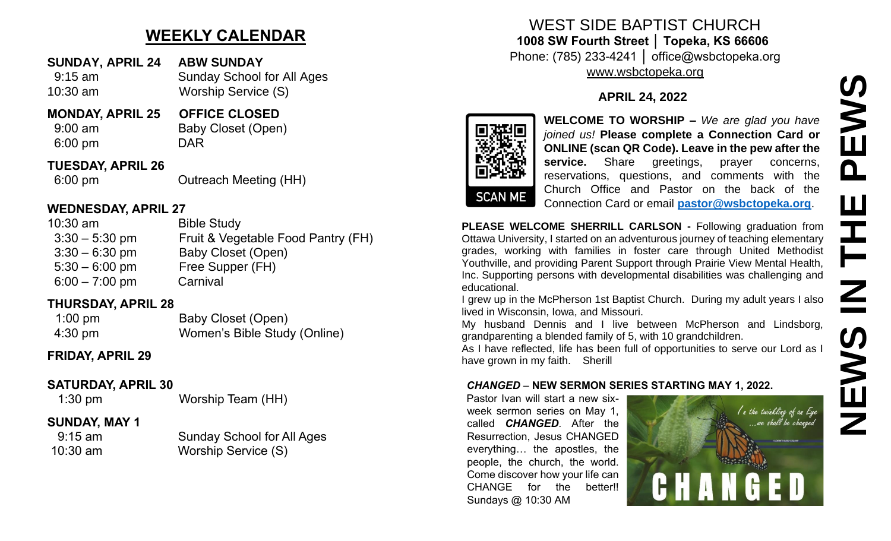# **WEEKLY CALENDAR**

- **SUNDAY, APRIL 24 ABW SUNDAY** 9:15 am Sunday School for All Ages
- 10:30 am Worship Service (S)
- **MONDAY, APRIL 25 OFFICE CLOSED**

6:00 pm DAR

9:00 am Baby Closet (Open)

## **TUESDAY, APRIL 26**

6:00 pm Outreach Meeting (HH)

## **WEDNESDAY, APRIL 27**

| <b>Bible Study</b>                 |
|------------------------------------|
| Fruit & Vegetable Food Pantry (FH) |
| Baby Closet (Open)                 |
| Free Supper (FH)                   |
| Carnival                           |
|                                    |

# **THURSDAY, APRIL 28**

| $1:00$ pm         | Baby Closet (Open)           |
|-------------------|------------------------------|
| $4:30 \text{ pm}$ | Women's Bible Study (Online) |

# **FRIDAY, APRIL 29**

# **SATURDAY, APRIL 30**

1:30 pm Worship Team (HH)

# **SUNDAY, MAY 1**

 9:15 am Sunday School for All Ages 10:30 am Worship Service (S)

## WEST SIDE BAPTIST CHURCH **1008 SW Fourth Street │ Topeka, KS 66606** Phone: (785) 233-4241 │ office@wsbctopeka.org [www.wsbctopeka.org](http://www.wsbctopeka.org/)

**APRIL 24, 2022**



**WELCOME TO WORSHIP –** *We are glad you have joined us!* **Please complete a Connection Card or ONLINE (scan QR Code). Leave in the pew after the service.** Share greetings, prayer concerns, reservations, questions, and comments with the Church Office and Pastor on the back of the Connection Card or email **[pastor@wsbctopeka.org](mailto:pastor@wsbctopeka.org)**.

**PLEASE WELCOME SHERRILL CARLSON -** Following graduation from Ottawa University, I started on an adventurous journey of teaching elementary grades, working with families in foster care through United Methodist Youthville, and providing Parent Support through Prairie View Mental Health, Inc. Supporting persons with developmental disabilities was challenging and educational.

I grew up in the McPherson 1st Baptist Church. During my adult years I also lived in Wisconsin, Iowa, and Missouri.

My husband Dennis and I live between McPherson and Lindsborg, grandparenting a blended family of 5, with 10 grandchildren.

As I have reflected, life has been full of opportunities to serve our Lord as I have grown in my faith. Sherill

### *CHANGED* – **NEW SERMON SERIES STARTING MAY 1, 2022.**

Pastor Ivan will start a new sixweek sermon series on May 1, called *CHANGED*. After the Resurrection, Jesus CHANGED everything… the apostles, the people, the church, the world. Come discover how your life can CHANGE for the better!! Sundays @ 10:30 AM

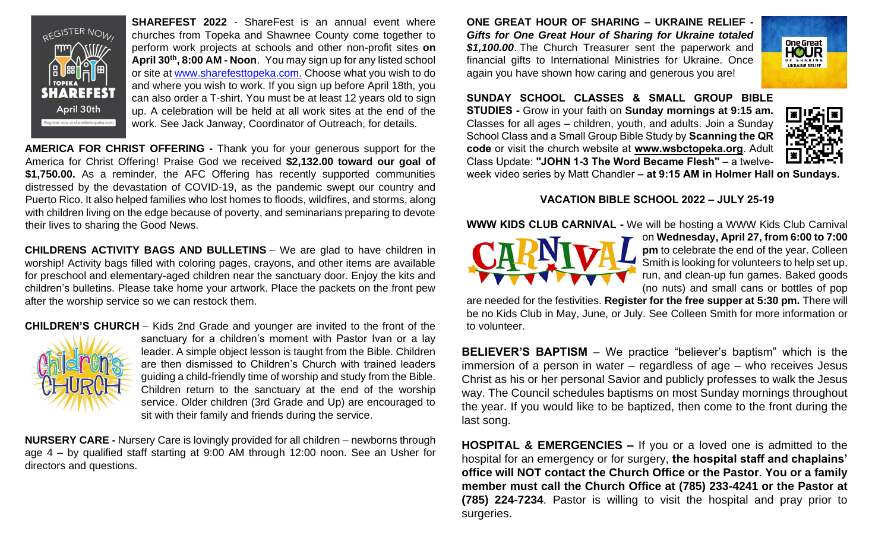

**SHAREFEST 2022** - ShareFest is an annual event where churches from Topeka and Shawnee County come together to perform work projects at schools and other non-profit sites **on April 30th, 8:00 AM - Noon**. You may sign up for any listed school or site at [www.sharefesttopeka.com.](http://www.sharefesttopeka.com/) Choose what you wish to do and where you wish to work. If you sign up before April 18th, you can also order a T-shirt. You must be at least 12 years old to sign up. A celebration will be held at all work sites at the end of the work. See Jack Janway, Coordinator of Outreach, for details.

**AMERICA FOR CHRIST OFFERING -** Thank you for your generous support for the America for Christ Offering! Praise God we received **\$2,132.00 toward our goal of \$1,750.00.** As a reminder, the AFC Offering has recently supported communities distressed by the devastation of COVID-19, as the pandemic swept our country and Puerto Rico. It also helped families who lost homes to floods, wildfires, and storms, along with children living on the edge because of poverty, and seminarians preparing to devote their lives to sharing the Good News.

**CHILDRENS ACTIVITY BAGS AND BULLETINS** – We are glad to have children in worship! Activity bags filled with coloring pages, crayons, and other items are available for preschool and elementary-aged children near the sanctuary door. Enjoy the kits and children's bulletins. Please take home your artwork. Place the packets on the front pew after the worship service so we can restock them.

#### **CHILDREN'S CHURCH** – Kids 2nd Grade and younger are invited to the front of the



sanctuary for a children's moment with Pastor Ivan or a lay leader. A simple object lesson is taught from the Bible. Children are then dismissed to Children's Church with trained leaders guiding a child-friendly time of worship and study from the Bible. Children return to the sanctuary at the end of the worship service. Older children (3rd Grade and Up) are encouraged to sit with their family and friends during the service.

**NURSERY CARE -** Nursery Care is lovingly provided for all children – newborns through age 4 – by qualified staff starting at 9:00 AM through 12:00 noon. See an Usher for directors and questions.

**ONE GREAT HOUR OF SHARING – UKRAINE RELIEF -** *Gifts for One Great Hour of Sharing for Ukraine totaled*  **\$1,100.00**. The Church Treasurer sent the paperwork and financial gifts to International Ministries for Ukraine. Once again you have shown how caring and generous you are!



**SUNDAY SCHOOL CLASSES & SMALL GROUP BIBLE STUDIES -** Grow in your faith on **Sunday mornings at 9:15 am.** Classes for all ages – children, youth, and adults. Join a Sunday School Class and a Small Group Bible Study by **Scanning the QR code** or visit the church website at **www.wsbctopeka.org**. Adult Class Update: **"JOHN 1-3 The Word Became Flesh"** – a twelve-



week video series by Matt Chandler **– at 9:15 AM in Holmer Hall on Sundays.**

#### **VACATION BIBLE SCHOOL 2022 – JULY 25-19**

**WWW KIDS CLUB CARNIVAL -** We will be hosting a WWW Kids Club Carnival



on **Wednesday, April 27, from 6:00 to 7:00 pm** to celebrate the end of the year. Colleen Smith is looking for volunteers to help set up, run, and clean-up fun games. Baked goods (no nuts) and small cans or bottles of pop

are needed for the festivities. **Register for the free supper at 5:30 pm.** There will be no Kids Club in May, June, or July. See Colleen Smith for more information or to volunteer.

**BELIEVER'S BAPTISM** – We practice "believer's baptism" which is the immersion of a person in water – regardless of age – who receives Jesus Christ as his or her personal Savior and publicly professes to walk the Jesus way. The Council schedules baptisms on most Sunday mornings throughout the year. If you would like to be baptized, then come to the front during the last song.

**HOSPITAL & EMERGENCIES –** If you or a loved one is admitted to the hospital for an emergency or for surgery, **the hospital staff and chaplains' office will NOT contact the Church Office or the Pastor**. **You or a family member must call the Church Office at (785) 233-4241 or the Pastor at (785) 224-7234**. Pastor is willing to visit the hospital and pray prior to surgeries.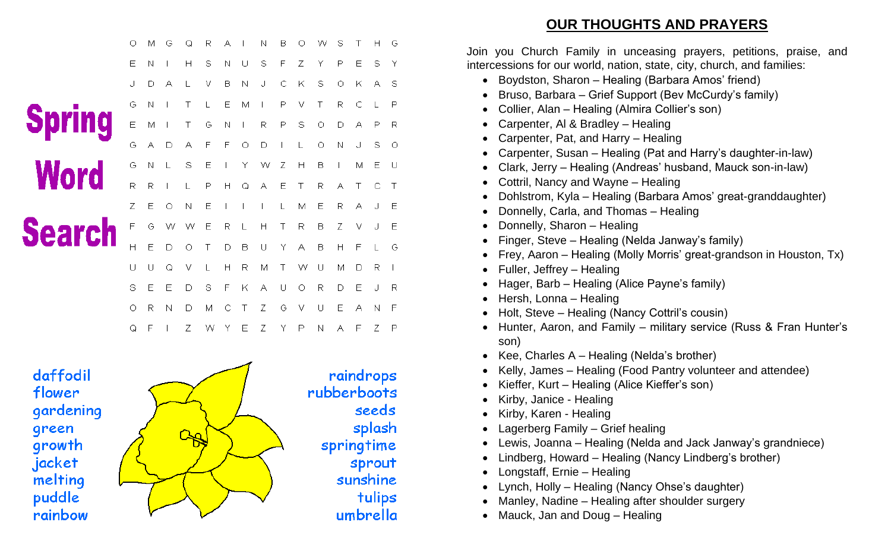|               | О | м | G | Q | R | А |   | N | в | О | w | s |   | Н | G |  |
|---------------|---|---|---|---|---|---|---|---|---|---|---|---|---|---|---|--|
|               | Ε | Ν |   | Н | S | N | U | S | F | Ζ | Y | P | Ε | S | Υ |  |
|               | J | D | А |   | v | B | Ν | J | С | Κ | S | О | Κ | А | s |  |
|               | G | N |   | Τ |   | Ε | М |   | Ρ | ٧ | Τ | R | С |   | P |  |
| <b>Spring</b> | Ε | М |   | Τ | G | Ν |   | R | P | S | О | D | А | P | R |  |
|               | Ğ | А | D | А | F | F | О | D |   |   | О | Ν | J | S | О |  |
| <b>Word</b>   | G | N |   | S | Ε |   | Υ | W | Ζ | H | В |   | М | Ε | U |  |
|               | R | R |   |   | Р | Н | Q | А | Ε | Τ | R | А |   | С | Τ |  |
|               | Z | E | О | Ν | Ε |   |   |   | L | М | Ε | R | А | J | Ε |  |
| <b>Search</b> | F | G | w | w | Ε | R |   | Η | Τ | R | в | Ζ | ٧ | J | E |  |
|               | Η | Ε | D | О | Т | D | в | U | Υ | А | B | Н | F | L | G |  |
|               | U | U | Q | ٧ |   | Н | R | М | Τ | w | U | М | D | R |   |  |
|               | S | Ε | Ε | D | S | F | Κ | А | U | О | R | D | Ε | J | R |  |
|               | О | R | Ν | D | М |   |   | Ζ | G | ٧ | U | Ε | А | N | F |  |
|               | Q | F |   | Ζ | W | Y | Ε | Ζ | Υ | Р | N | А | F | Ζ | P |  |

daffodil flower gardening green growth jacket melting puddle rainbow



seeds

splash

sprout

tulips

sunshine

umbrella

**OUR THOUGHTS AND PRAYERS**

Join you Church Family in unceasing prayers, petitions, praise, and intercessions for our world, nation, state, city, church, and families:

- Boydston, Sharon Healing (Barbara Amos' friend)
- Bruso, Barbara Grief Support (Bev McCurdy's family)
- Collier, Alan Healing (Almira Collier's son)
- Carpenter, Al & Bradley Healing
- Carpenter, Pat, and Harry Healing
- Carpenter, Susan Healing (Pat and Harry's daughter-in-law)
- Clark, Jerry Healing (Andreas' husband, Mauck son-in-law)
- Cottril, Nancy and Wayne Healing
- Dohlstrom, Kyla Healing (Barbara Amos' great-granddaughter)
- Donnelly, Carla, and Thomas Healing
- Donnelly, Sharon Healing
- Finger, Steve Healing (Nelda Janway's family)
- Frey, Aaron Healing (Molly Morris' great-grandson in Houston, Tx)
- Fuller, Jeffrey Healing
- Hager, Barb Healing (Alice Payne's family)
- Hersh, Lonna Healing
- Holt, Steve Healing (Nancy Cottril's cousin)
- Hunter, Aaron, and Family military service (Russ & Fran Hunter's son)
- Kee, Charles A Healing (Nelda's brother)
- Kelly, James Healing (Food Pantry volunteer and attendee)
- Kieffer, Kurt Healing (Alice Kieffer's son)
- Kirby, Janice Healing
- Kirby, Karen Healing
- Lagerberg Family Grief healing
- Lewis, Joanna Healing (Nelda and Jack Janway's grandniece)
- Lindberg, Howard Healing (Nancy Lindberg's brother)
- Longstaff, Ernie Healing
- Lynch, Holly Healing (Nancy Ohse's daughter)
- Manley, Nadine Healing after shoulder surgery
- Mauck, Jan and Doug Healing